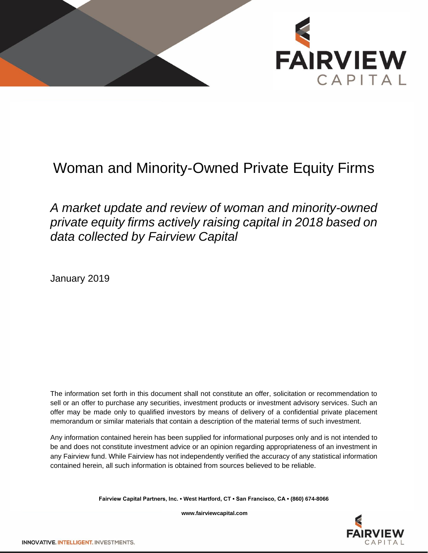

# Woman and Minority-Owned Private Equity Firms

# *A market update and review of woman and minority-owned private equity firms actively raising capital in 2018 based on data collected by Fairview Capital*

January 2019

The information set forth in this document shall not constitute an offer, solicitation or recommendation to sell or an offer to purchase any securities, investment products or investment advisory services. Such an offer may be made only to qualified investors by means of delivery of a confidential private placement memorandum or similar materials that contain a description of the material terms of such investment.

Any information contained herein has been supplied for informational purposes only and is not intended to be and does not constitute investment advice or an opinion regarding appropriateness of an investment in any Fairview fund. While Fairview has not independently verified the accuracy of any statistical information contained herein, all such information is obtained from sources believed to be reliable.

**Fairview Capital Partners, Inc. ▪ West Hartford, CT ▪ San Francisco, CA ▪ (860) 674-8066**



**www.fairviewcapital.com**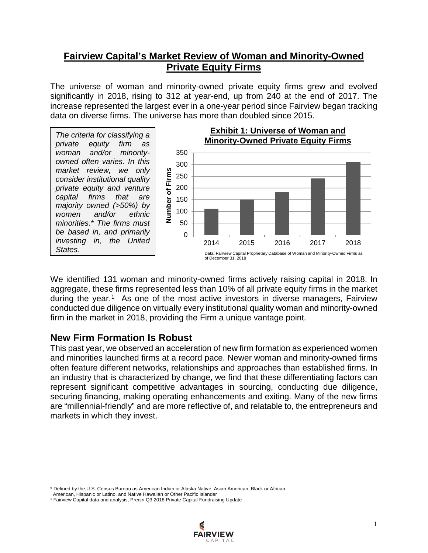# **Fairview Capital's Market Review of Woman and Minority-Owned Private Equity Firms**

The universe of woman and minority-owned private equity firms grew and evolved significantly in 2018, rising to 312 at year-end, up from 240 at the end of 2017. The increase represented the largest ever in a one-year period since Fairview began tracking data on diverse firms. The universe has more than doubled since 2015.

*The criteria for classifying a private equity firm as woman and/or minorityowned often varies. In this market review, we only consider institutional quality private equity and venture capital firms that are majority owned (>50%) by women and/or ethnic minorities.\* The firms must be based in, and primarily investing in, the United States.*



We identified 131 woman and minority-owned firms actively raising capital in 2018. In aggregate, these firms represented less than 10% of all private equity firms in the market during the year.<sup>[1](#page-1-0)</sup> As one of the most active investors in diverse managers, Fairview conducted due diligence on virtually every institutional quality woman and minority-owned firm in the market in 2018, providing the Firm a unique vantage point.

#### **New Firm Formation Is Robust**

This past year, we observed an acceleration of new firm formation as experienced women and minorities launched firms at a record pace. Newer woman and minority-owned firms often feature different networks, relationships and approaches than established firms. In an industry that is characterized by change, we find that these differentiating factors can represent significant competitive advantages in sourcing, conducting due diligence, securing financing, making operating enhancements and exiting. Many of the new firms are "millennial-friendly" and are more reflective of, and relatable to, the entrepreneurs and markets in which they invest.

 $\overline{\phantom{a}}$ 

<sup>&</sup>lt;sup>1</sup> Fairview Capital data and analysis, Preqin Q3 2018 Private Capital Fundraising Update



<span id="page-1-0"></span>Defined by the U.S. Census Bureau as American Indian or Alaska Native, Asian American, Black or African

American, Hispanic or Latino, and Native Hawaiian or Other Pacific Islander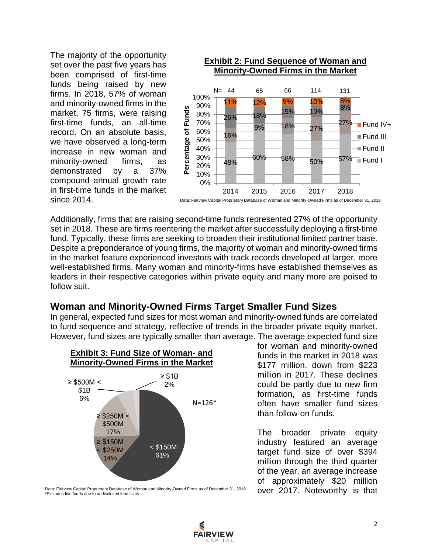The majority of the opportunity set over the past five years has been comprised of first-time funds being raised by new firms. In 2018, 57% of woman and minority-owned firms in the market, 75 firms, were raising first-time funds, an all-time record. On an absolute basis, we have observed a long-term increase in new woman and minority-owned firms, as demonstrated by a 37% compound annual growth rate in first-time funds in the market since 2014.



Additionally, firms that are raising second-time funds represented 27% of the opportunity set in 2018. These are firms reentering the market after successfully deploying a first-time fund. Typically, these firms are seeking to broaden their institutional limited partner base. Despite a preponderance of young firms, the majority of woman and minority-owned firms in the market feature experienced investors with track records developed at larger, more well-established firms. Many woman and minority-firms have established themselves as leaders in their respective categories within private equity and many more are poised to follow suit.

#### **Woman and Minority-Owned Firms Target Smaller Fund Sizes**

In general, expected fund sizes for most woman and minority-owned funds are correlated to fund sequence and strategy, reflective of trends in the broader private equity market. However, fund sizes are typically smaller than average. The average expected fund size



for woman and minority-owned funds in the market in 2018 was \$177 million, down from \$223 million in 2017. These declines could be partly due to new firm formation, as first-time funds often have smaller fund sizes than follow-on funds.

The broader private equity industry featured an average target fund size of over \$394 million through the third quarter of the year, an average increase of approximately \$20 million over 2017. Noteworthy is that

Data: Fairview Capital Proprietary Database of Woman and Minority-Owned Firms as of December 31, 2018 \*Excludes five funds due to undisclosed fund sizes.

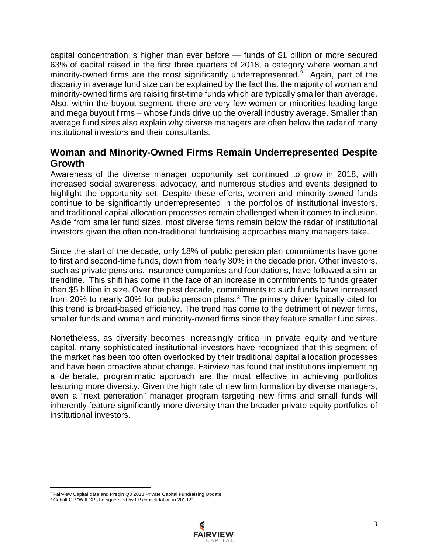capital concentration is higher than ever before — funds of \$1 billion or more secured 63% of capital raised in the first three quarters of 2018, a category where woman and minority-owned firms are the most significantly underrepresented.<sup>[2](#page-3-0)</sup> Again, part of the disparity in average fund size can be explained by the fact that the majority of woman and minority-owned firms are raising first-time funds which are typically smaller than average. Also, within the buyout segment, there are very few women or minorities leading large and mega buyout firms – whose funds drive up the overall industry average. Smaller than average fund sizes also explain why diverse managers are often below the radar of many institutional investors and their consultants.

## **Woman and Minority-Owned Firms Remain Underrepresented Despite Growth**

Awareness of the diverse manager opportunity set continued to grow in 2018, with increased social awareness, advocacy, and numerous studies and events designed to highlight the opportunity set. Despite these efforts, women and minority-owned funds continue to be significantly underrepresented in the portfolios of institutional investors, and traditional capital allocation processes remain challenged when it comes to inclusion. Aside from smaller fund sizes, most diverse firms remain below the radar of institutional investors given the often non-traditional fundraising approaches many managers take.

Since the start of the decade, only 18% of public pension plan commitments have gone to first and second-time funds, down from nearly 30% in the decade prior. Other investors, such as private pensions, insurance companies and foundations, have followed a similar trendline. This shift has come in the face of an increase in commitments to funds greater than \$5 billion in size. Over the past decade, commitments to such funds have increased from 20% to nearly 30% for public pension plans.[3](#page-3-1) The primary driver typically cited for this trend is broad-based efficiency. The trend has come to the detriment of newer firms, smaller funds and woman and minority-owned firms since they feature smaller fund sizes.

Nonetheless, as diversity becomes increasingly critical in private equity and venture capital, many sophisticated institutional investors have recognized that this segment of the market has been too often overlooked by their traditional capital allocation processes and have been proactive about change. Fairview has found that institutions implementing a deliberate, programmatic approach are the most effective in achieving portfolios featuring more diversity. Given the high rate of new firm formation by diverse managers, even a "next generation" manager program targeting new firms and small funds will inherently feature significantly more diversity than the broader private equity portfolios of institutional investors.

<span id="page-3-1"></span><span id="page-3-0"></span><sup>3</sup> Cobalt GP "Will GPs be squeezed by LP consolidation in 2019?"



l <sup>2</sup> Fairview Capital data and Preqin Q3 2018 Private Capital Fundraising Update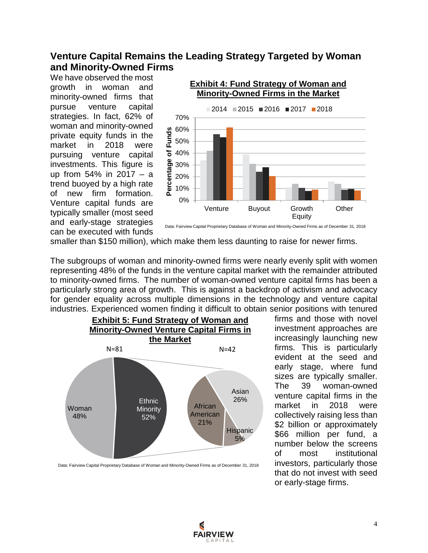# **Venture Capital Remains the Leading Strategy Targeted by Woman and Minority-Owned Firms**

We have observed the most growth in woman and minority-owned firms that pursue venture capital strategies. In fact, 62% of woman and minority-owned private equity funds in the market in 2018 were pursuing venture capital investments. This figure is up from 54% in 2017 – a trend buoyed by a high rate of new firm formation. Venture capital funds are typically smaller (most seed and early-stage strategies can be executed with funds



Data: Fairview Capital Proprietary Database of Woman and Minority-Owned Firms as of December 31, 2018

smaller than \$150 million), which make them less daunting to raise for newer firms.

The subgroups of woman and minority-owned firms were nearly evenly split with women representing 48% of the funds in the venture capital market with the remainder attributed to minority-owned firms. The number of woman-owned venture capital firms has been a particularly strong area of growth. This is against a backdrop of activism and advocacy for gender equality across multiple dimensions in the technology and venture capital industries. Experienced women finding it difficult to obtain senior positions with tenured



Data: Fairview Capital Proprietary Database of Woman and Minority-Owned Firms as of December 31, 2018

firms and those with novel investment approaches are increasingly launching new firms. This is particularly evident at the seed and early stage, where fund sizes are typically smaller. The 39 woman-owned venture capital firms in the market in 2018 were collectively raising less than \$2 billion or approximately \$66 million per fund, a number below the screens of most institutional investors, particularly those that do not invest with seed or early-stage firms.

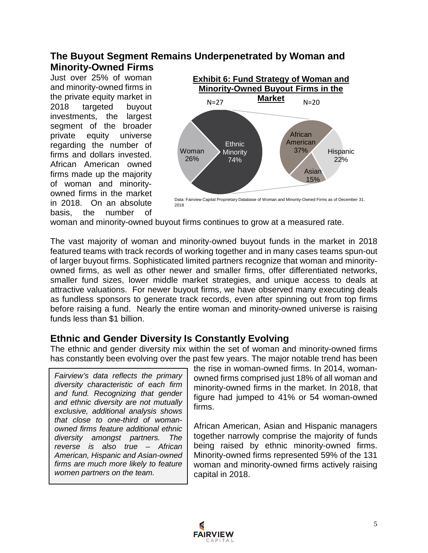#### **The Buyout Segment Remains Underpenetrated by Woman and Minority-Owned Firms**

Just over 25% of woman and minority-owned firms in the private equity market in 2018 targeted buyout investments, the largest segment of the broader private equity universe regarding the number of firms and dollars invested. African American owned firms made up the majority of woman and minorityowned firms in the market in 2018. On an absolute basis, the number of



Data: Fairview Capital Proprietary Database of Woman and Minority-Owned Firms as of December 31, 2018

woman and minority-owned buyout firms continues to grow at a measured rate.

The vast majority of woman and minority-owned buyout funds in the market in 2018 featured teams with track records of working together and in many cases teams spun-out of larger buyout firms. Sophisticated limited partners recognize that woman and minorityowned firms, as well as other newer and smaller firms, offer differentiated networks, smaller fund sizes, lower middle market strategies, and unique access to deals at attractive valuations. For newer buyout firms, we have observed many executing deals as fundless sponsors to generate track records, even after spinning out from top firms before raising a fund. Nearly the entire woman and minority-owned universe is raising funds less than \$1 billion.

# **Ethnic and Gender Diversity Is Constantly Evolving**

The ethnic and gender diversity mix within the set of woman and minority-owned firms has constantly been evolving over the past few years. The major notable trend has been

*Fairview's data reflects the primary diversity characteristic of each firm and fund. Recognizing that gender and ethnic diversity are not mutually exclusive, additional analysis shows that close to one-third of womanowned firms feature additional ethnic diversity amongst partners. The reverse is also true – African American, Hispanic and Asian-owned firms are much more likely to feature women partners on the team.* 

the rise in woman-owned firms. In 2014, womanowned firms comprised just 18% of all woman and minority-owned firms in the market. In 2018, that figure had jumped to 41% or 54 woman-owned firms.

African American, Asian and Hispanic managers together narrowly comprise the majority of funds being raised by ethnic minority-owned firms. Minority-owned firms represented 59% of the 131 woman and minority-owned firms actively raising capital in 2018.